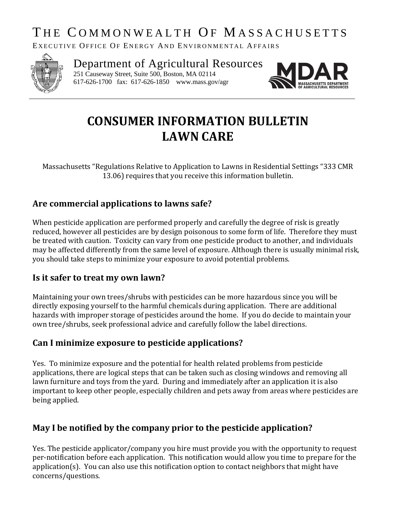# THE COMMONWEALTH OF MASSACHUSETTS

EXECUTIVE OFFICE OF ENERGY AND ENVIRONMENTAL AFFAIRS



Department of Agricultural Resources 251 Causeway Street, Suite 500, Boston, MA 02114

617-626-1700 fax: 617-626-1850 www.mass.gov/agr



# **CONSUMER INFORMATION BULLETIN LAWN CARE**

Massachusetts "Regulations Relative to Application to Lawns in Residential Settings "333 CMR 13.06) requires that you receive this information bulletin.

# **Are commercial applications to lawns safe?**

When pesticide application are performed properly and carefully the degree of risk is greatly reduced, however all pesticides are by design poisonous to some form of life. Therefore they must be treated with caution. Toxicity can vary from one pesticide product to another, and individuals may be affected differently from the same level of exposure. Although there is usually minimal risk, you should take steps to minimize your exposure to avoid potential problems.

### **Is it safer to treat my own lawn?**

Maintaining your own trees/shrubs with pesticides can be more hazardous since you will be directly exposing yourself to the harmful chemicals during application. There are additional hazards with improper storage of pesticides around the home. If you do decide to maintain your own tree/shrubs, seek professional advice and carefully follow the label directions.

### **Can I minimize exposure to pesticide applications?**

Yes. To minimize exposure and the potential for health related problems from pesticide applications, there are logical steps that can be taken such as closing windows and removing all lawn furniture and toys from the yard. During and immediately after an application it is also important to keep other people, especially children and pets away from areas where pesticides are being applied.

# **May I be notified by the company prior to the pesticide application?**

Yes. The pesticide applicator/company you hire must provide you with the opportunity to request per-notification before each application. This notification would allow you time to prepare for the application(s). You can also use this notification option to contact neighbors that might have concerns/questions.